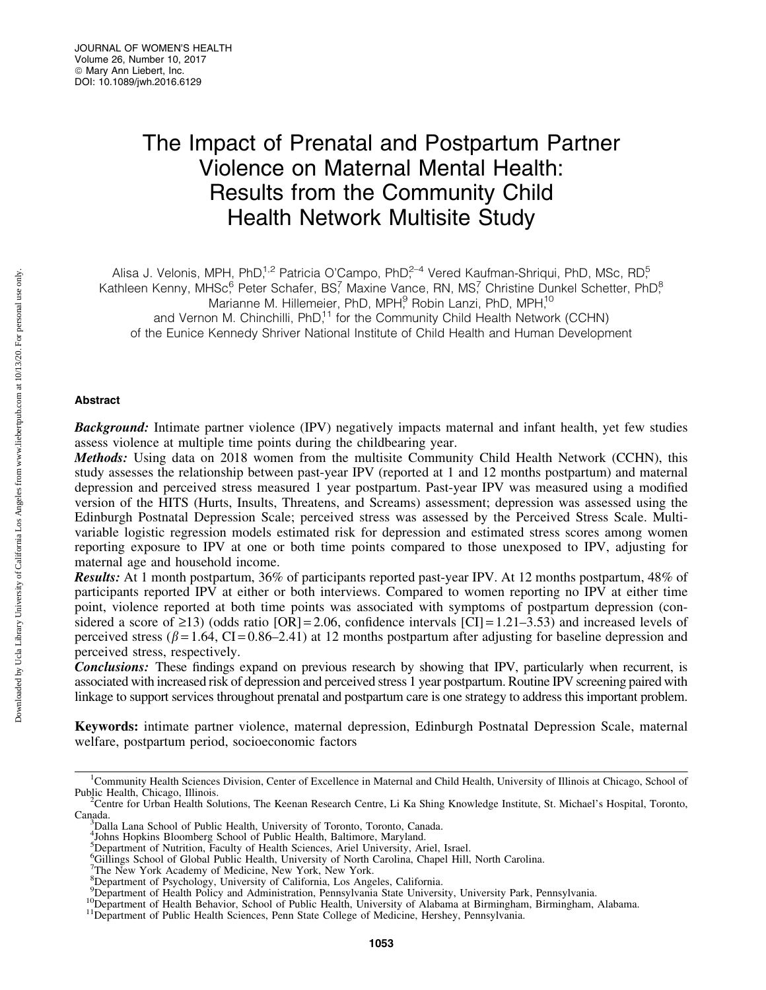# The Impact of Prenatal and Postpartum Partner Violence on Maternal Mental Health: Results from the Community Child Health Network Multisite Study

Alisa J. Velonis, MPH, PhD,<sup>1,2</sup> Patricia O'Campo, PhD,<sup>2-4</sup> Vered Kaufman-Shriqui, PhD, MSc, RD,<sup>5</sup> Kathleen Kenny, MHSc,<sup>6</sup> Peter Schafer, BS,<sup>7</sup> Maxine Vance, RN, MS,<sup>7</sup> Christine Dunkel Schetter, PhD,<sup>8</sup>

and Vernon M. Chinchilli, PhD,<sup>11</sup> for the Community Child Health Network (CCHN) of the Eunice Kennedy Shriver National Institute of Child Health and Human Development

# Abstract

**Background:** Intimate partner violence (IPV) negatively impacts maternal and infant health, yet few studies assess violence at multiple time points during the childbearing year.

Methods: Using data on 2018 women from the multisite Community Child Health Network (CCHN), this study assesses the relationship between past-year IPV (reported at 1 and 12 months postpartum) and maternal depression and perceived stress measured 1 year postpartum. Past-year IPV was measured using a modified version of the HITS (Hurts, Insults, Threatens, and Screams) assessment; depression was assessed using the Edinburgh Postnatal Depression Scale; perceived stress was assessed by the Perceived Stress Scale. Multivariable logistic regression models estimated risk for depression and estimated stress scores among women reporting exposure to IPV at one or both time points compared to those unexposed to IPV, adjusting for maternal age and household income.

Results: At 1 month postpartum, 36% of participants reported past-year IPV. At 12 months postpartum, 48% of participants reported IPV at either or both interviews. Compared to women reporting no IPV at either time point, violence reported at both time points was associated with symptoms of postpartum depression (considered a score of  $\geq$ 13) (odds ratio [OR] = 2.06, confidence intervals [CI] = 1.21–3.53) and increased levels of perceived stress ( $\beta$  = 1.64, CI = 0.86–2.41) at 12 months postpartum after adjusting for baseline depression and perceived stress, respectively.

Conclusions: These findings expand on previous research by showing that IPV, particularly when recurrent, is associated with increased risk of depression and perceived stress 1 year postpartum. Routine IPV screening paired with linkage to support services throughout prenatal and postpartum care is one strategy to address this important problem.

Keywords: intimate partner violence, maternal depression, Edinburgh Postnatal Depression Scale, maternal welfare, postpartum period, socioeconomic factors

Marianne M. Hillemeier, PhD, MPH,<sup>9</sup> Robin Lanzi, PhD, MPH,<sup>10</sup>

<sup>&</sup>lt;sup>1</sup>Community Health Sciences Division, Center of Excellence in Maternal and Child Health, University of Illinois at Chicago, School of Public Health, Chicago, Illinois. <sup>2</sup>

<sup>&</sup>lt;sup>2</sup>Centre for Urban Health Solutions, The Keenan Research Centre, Li Ka Shing Knowledge Institute, St. Michael's Hospital, Toronto, Canada.

<sup>&</sup>lt;sup>3</sup>Dalla Lana School of Public Health, University of Toronto, Toronto, Canada.

<sup>4</sup> Johns Hopkins Bloomberg School of Public Health, Baltimore, Maryland.

<sup>&</sup>lt;sup>5</sup>Department of Nutrition, Faculty of Health Sciences, Ariel University, Ariel, Israel.

<sup>6</sup> Gillings School of Global Public Health, University of North Carolina, Chapel Hill, North Carolina.

<sup>7</sup> The New York Academy of Medicine, New York, New York.

<sup>&</sup>lt;sup>8</sup>Department of Psychology, University of California, Los Angeles, California.

<sup>&</sup>lt;sup>9</sup>Department of Health Policy and Administration, Pennsylvania State University, University Park, Pennsylvania.<br><sup>10</sup>Department of Health Behavior, School of Public Health, University of Alabama at Birmingham, Birmingham,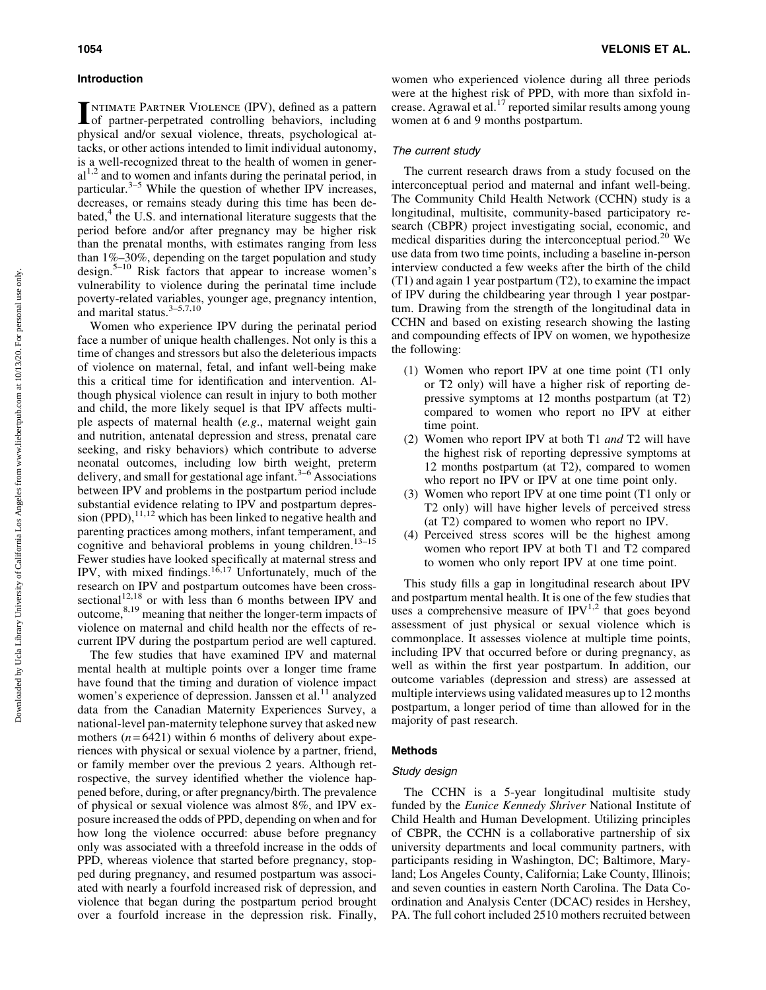#### Introduction

Intimate Partner Violence (IPV), defined as a pattern of partner-perpetrated controlling behaviors, including physical and/or sexual violence, threats, psychological attacks, or other actions intended to limit individual autonomy, is a well-recognized threat to the health of women in gener $al<sup>1,2</sup>$  and to women and infants during the perinatal period, in particular.3–5 While the question of whether IPV increases, decreases, or remains steady during this time has been debated, $<sup>4</sup>$  the U.S. and international literature suggests that the</sup> period before and/or after pregnancy may be higher risk than the prenatal months, with estimates ranging from less than 1%–30%, depending on the target population and study design.5–10 Risk factors that appear to increase women's vulnerability to violence during the perinatal time include poverty-related variables, younger age, pregnancy intention, and marital status. $3-5,7,10$ 

Women who experience IPV during the perinatal period face a number of unique health challenges. Not only is this a time of changes and stressors but also the deleterious impacts of violence on maternal, fetal, and infant well-being make this a critical time for identification and intervention. Although physical violence can result in injury to both mother and child, the more likely sequel is that IPV affects multiple aspects of maternal health (*e.g*., maternal weight gain and nutrition, antenatal depression and stress, prenatal care seeking, and risky behaviors) which contribute to adverse neonatal outcomes, including low birth weight, preterm delivery, and small for gestational age infant. $3-6$  Associations between IPV and problems in the postpartum period include substantial evidence relating to IPV and postpartum depression (PPD),  $^{11,12}$  which has been linked to negative health and parenting practices among mothers, infant temperament, and cognitive and behavioral problems in young children.<sup>13-15</sup> Fewer studies have looked specifically at maternal stress and IPV, with mixed findings.<sup>16,17</sup> Unfortunately, much of the research on IPV and postpartum outcomes have been crosssectional<sup>12,18</sup> or with less than 6 months between IPV and outcome,8,19 meaning that neither the longer-term impacts of violence on maternal and child health nor the effects of recurrent IPV during the postpartum period are well captured.

The few studies that have examined IPV and maternal mental health at multiple points over a longer time frame have found that the timing and duration of violence impact women's experience of depression. Janssen et al.<sup>11</sup> analyzed data from the Canadian Maternity Experiences Survey, a national-level pan-maternity telephone survey that asked new mothers  $(n=6421)$  within 6 months of delivery about experiences with physical or sexual violence by a partner, friend, or family member over the previous 2 years. Although retrospective, the survey identified whether the violence happened before, during, or after pregnancy/birth. The prevalence of physical or sexual violence was almost 8%, and IPV exposure increased the odds of PPD, depending on when and for how long the violence occurred: abuse before pregnancy only was associated with a threefold increase in the odds of PPD, whereas violence that started before pregnancy, stopped during pregnancy, and resumed postpartum was associated with nearly a fourfold increased risk of depression, and violence that began during the postpartum period brought over a fourfold increase in the depression risk. Finally, women who experienced violence during all three periods were at the highest risk of PPD, with more than sixfold increase. Agrawal et al.<sup>17</sup> reported similar results among young women at 6 and 9 months postpartum.

# The current study

The current research draws from a study focused on the interconceptual period and maternal and infant well-being. The Community Child Health Network (CCHN) study is a longitudinal, multisite, community-based participatory research (CBPR) project investigating social, economic, and medical disparities during the interconceptual period.<sup>20</sup> We use data from two time points, including a baseline in-person interview conducted a few weeks after the birth of the child (T1) and again 1 year postpartum (T2), to examine the impact of IPV during the childbearing year through 1 year postpartum. Drawing from the strength of the longitudinal data in CCHN and based on existing research showing the lasting and compounding effects of IPV on women, we hypothesize the following:

- (1) Women who report IPV at one time point (T1 only or T2 only) will have a higher risk of reporting depressive symptoms at 12 months postpartum (at T2) compared to women who report no IPV at either time point.
- (2) Women who report IPV at both T1 *and* T2 will have the highest risk of reporting depressive symptoms at 12 months postpartum (at T2), compared to women who report no IPV or IPV at one time point only.
- (3) Women who report IPV at one time point (T1 only or T2 only) will have higher levels of perceived stress (at T2) compared to women who report no IPV.
- (4) Perceived stress scores will be the highest among women who report IPV at both T1 and T2 compared to women who only report IPV at one time point.

This study fills a gap in longitudinal research about IPV and postpartum mental health. It is one of the few studies that uses a comprehensive measure of  $IPV<sup>1,2</sup>$  that goes beyond assessment of just physical or sexual violence which is commonplace. It assesses violence at multiple time points, including IPV that occurred before or during pregnancy, as well as within the first year postpartum. In addition, our outcome variables (depression and stress) are assessed at multiple interviews using validated measures up to 12 months postpartum, a longer period of time than allowed for in the majority of past research.

#### Methods

## Study design

The CCHN is a 5-year longitudinal multisite study funded by the *Eunice Kennedy Shriver* National Institute of Child Health and Human Development. Utilizing principles of CBPR, the CCHN is a collaborative partnership of six university departments and local community partners, with participants residing in Washington, DC; Baltimore, Maryland; Los Angeles County, California; Lake County, Illinois; and seven counties in eastern North Carolina. The Data Coordination and Analysis Center (DCAC) resides in Hershey, PA. The full cohort included 2510 mothers recruited between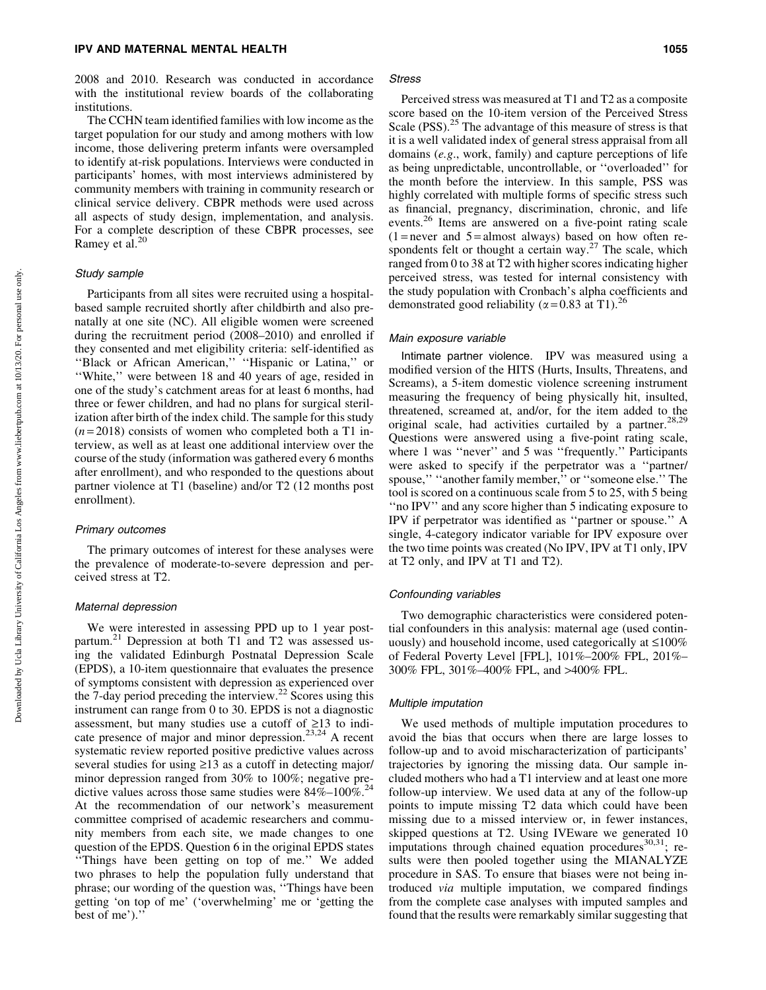2008 and 2010. Research was conducted in accordance with the institutional review boards of the collaborating institutions.

The CCHN team identified families with low income as the target population for our study and among mothers with low income, those delivering preterm infants were oversampled to identify at-risk populations. Interviews were conducted in participants' homes, with most interviews administered by community members with training in community research or clinical service delivery. CBPR methods were used across all aspects of study design, implementation, and analysis. For a complete description of these CBPR processes, see Ramey et al.<sup>20</sup>

# Study sample

Participants from all sites were recruited using a hospitalbased sample recruited shortly after childbirth and also prenatally at one site (NC). All eligible women were screened during the recruitment period (2008–2010) and enrolled if they consented and met eligibility criteria: self-identified as ''Black or African American,'' ''Hispanic or Latina,'' or ''White,'' were between 18 and 40 years of age, resided in one of the study's catchment areas for at least 6 months, had three or fewer children, and had no plans for surgical sterilization after birth of the index child. The sample for this study  $(n=2018)$  consists of women who completed both a T1 interview, as well as at least one additional interview over the course of the study (information was gathered every 6 months after enrollment), and who responded to the questions about partner violence at T1 (baseline) and/or T2 (12 months post enrollment).

#### Primary outcomes

The primary outcomes of interest for these analyses were the prevalence of moderate-to-severe depression and perceived stress at T2.

# Maternal depression

We were interested in assessing PPD up to 1 year postpartum.<sup>21</sup> Depression at both T1 and T2 was assessed using the validated Edinburgh Postnatal Depression Scale (EPDS), a 10-item questionnaire that evaluates the presence of symptoms consistent with depression as experienced over the 7-day period preceding the interview.<sup>22</sup> Scores using this instrument can range from 0 to 30. EPDS is not a diagnostic assessment, but many studies use a cutoff of  $\geq 13$  to indicate presence of major and minor depression.<sup>23,24</sup> A recent systematic review reported positive predictive values across several studies for using  $\geq 13$  as a cutoff in detecting major/ minor depression ranged from 30% to 100%; negative predictive values across those same studies were  $84\% - 100\%$ .<sup>24</sup> At the recommendation of our network's measurement committee comprised of academic researchers and community members from each site, we made changes to one question of the EPDS. Question 6 in the original EPDS states ''Things have been getting on top of me.'' We added two phrases to help the population fully understand that phrase; our wording of the question was, ''Things have been getting 'on top of me' ('overwhelming' me or 'getting the best of me').''

#### Stress

Perceived stress was measured at T1 and T2 as a composite score based on the 10-item version of the Perceived Stress Scale (PSS).<sup>25</sup> The advantage of this measure of stress is that it is a well validated index of general stress appraisal from all domains (*e.g*., work, family) and capture perceptions of life as being unpredictable, uncontrollable, or ''overloaded'' for the month before the interview. In this sample, PSS was highly correlated with multiple forms of specific stress such as financial, pregnancy, discrimination, chronic, and life events.<sup>26</sup> Items are answered on a five-point rating scale  $(1 = never and 5 = almost always) based on how often re$ spondents felt or thought a certain way.<sup>27</sup> The scale, which ranged from 0 to 38 at T2 with higher scores indicating higher perceived stress, was tested for internal consistency with the study population with Cronbach's alpha coefficients and demonstrated good reliability ( $\alpha$  = 0.83 at T1).<sup>26</sup>

## Main exposure variable

Intimate partner violence. IPV was measured using a modified version of the HITS (Hurts, Insults, Threatens, and Screams), a 5-item domestic violence screening instrument measuring the frequency of being physically hit, insulted, threatened, screamed at, and/or, for the item added to the original scale, had activities curtailed by a partner.<sup>28,29</sup> Questions were answered using a five-point rating scale, where 1 was "never" and 5 was "frequently." Participants were asked to specify if the perpetrator was a ''partner/ spouse," "another family member," or "someone else." The tool is scored on a continuous scale from 5 to 25, with 5 being ''no IPV'' and any score higher than 5 indicating exposure to IPV if perpetrator was identified as ''partner or spouse.'' A single, 4-category indicator variable for IPV exposure over the two time points was created (No IPV, IPV at T1 only, IPV at T2 only, and IPV at T1 and T2).

#### Confounding variables

Two demographic characteristics were considered potential confounders in this analysis: maternal age (used continuously) and household income, used categorically at  $\leq 100\%$ of Federal Poverty Level [FPL], 101%–200% FPL, 201%– 300% FPL, 301%–400% FPL, and >400% FPL.

## Multiple imputation

We used methods of multiple imputation procedures to avoid the bias that occurs when there are large losses to follow-up and to avoid mischaracterization of participants' trajectories by ignoring the missing data. Our sample included mothers who had a T1 interview and at least one more follow-up interview. We used data at any of the follow-up points to impute missing T2 data which could have been missing due to a missed interview or, in fewer instances, skipped questions at T2. Using IVEware we generated 10 imputations through chained equation procedures $^{30,31}$ ; results were then pooled together using the MIANALYZE procedure in SAS. To ensure that biases were not being introduced *via* multiple imputation, we compared findings from the complete case analyses with imputed samples and found that the results were remarkably similar suggesting that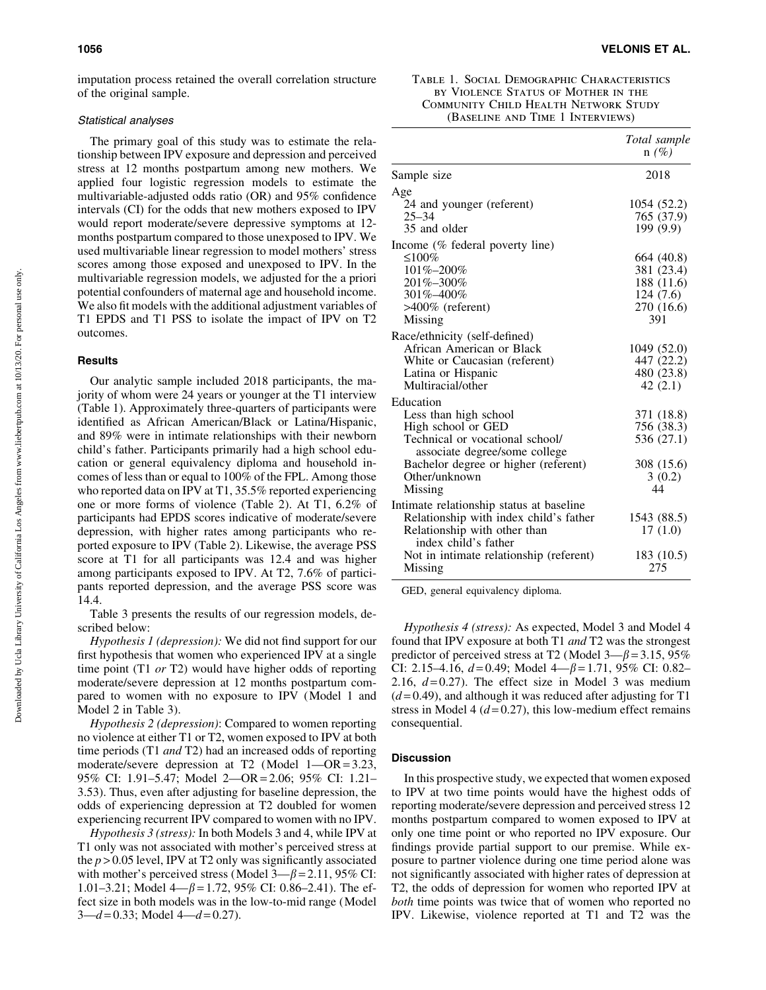imputation process retained the overall correlation structure of the original sample.

## Statistical analyses

The primary goal of this study was to estimate the relationship between IPV exposure and depression and perceived stress at 12 months postpartum among new mothers. We applied four logistic regression models to estimate the multivariable-adjusted odds ratio (OR) and 95% confidence intervals (CI) for the odds that new mothers exposed to IPV would report moderate/severe depressive symptoms at 12 months postpartum compared to those unexposed to IPV. We used multivariable linear regression to model mothers' stress scores among those exposed and unexposed to IPV. In the multivariable regression models, we adjusted for the a priori potential confounders of maternal age and household income. We also fit models with the additional adjustment variables of T1 EPDS and T1 PSS to isolate the impact of IPV on T2 outcomes.

# **Results**

Our analytic sample included 2018 participants, the majority of whom were 24 years or younger at the T1 interview (Table 1). Approximately three-quarters of participants were identified as African American/Black or Latina/Hispanic, and 89% were in intimate relationships with their newborn child's father. Participants primarily had a high school education or general equivalency diploma and household incomes of less than or equal to 100% of the FPL. Among those who reported data on IPV at T1, 35.5% reported experiencing one or more forms of violence (Table 2). At T1, 6.2% of participants had EPDS scores indicative of moderate/severe depression, with higher rates among participants who reported exposure to IPV (Table 2). Likewise, the average PSS score at T1 for all participants was 12.4 and was higher among participants exposed to IPV. At T2, 7.6% of participants reported depression, and the average PSS score was 14.4.

Table 3 presents the results of our regression models, described below:

*Hypothesis 1 (depression):* We did not find support for our first hypothesis that women who experienced IPV at a single time point (T1 *or* T2) would have higher odds of reporting moderate/severe depression at 12 months postpartum compared to women with no exposure to IPV (Model 1 and Model 2 in Table 3).

*Hypothesis 2 (depression)*: Compared to women reporting no violence at either T1 or T2, women exposed to IPV at both time periods (T1 *and* T2) had an increased odds of reporting moderate/severe depression at T2 (Model 1—OR=3.23, 95% CI: 1.91–5.47; Model 2—OR = 2.06; 95% CI: 1.21– 3.53). Thus, even after adjusting for baseline depression, the odds of experiencing depression at T2 doubled for women experiencing recurrent IPV compared to women with no IPV.

*Hypothesis 3 (stress):* In both Models 3 and 4, while IPV at T1 only was not associated with mother's perceived stress at the  $p > 0.05$  level, IPV at T2 only was significantly associated with mother's perceived stress (Model  $3-\beta = 2.11$ , 95% CI: 1.01–3.21; Model 4— $\beta$ = 1.72, 95% CI: 0.86–2.41). The effect size in both models was in the low-to-mid range (Model 3—*d* = 0.33; Model 4—*d* = 0.27).

## Table 1. Social Demographic Characteristics by Violence Status of Mother in the Community Child Health Network Study (Baseline and Time 1 Interviews)

|                                          | Total sample<br>$n(\%)$ |
|------------------------------------------|-------------------------|
| Sample size                              | 2018                    |
| Age                                      |                         |
| 24 and younger (referent)                | 1054 (52.2)             |
| $25 - 34$                                | 765 (37.9)              |
| 35 and older                             | 199 (9.9)               |
| Income (% federal poverty line)          |                         |
| ≤100%                                    | 664 (40.8)              |
| $101\% - 200\%$                          | 381 (23.4)              |
| 201%-300%                                | 188 (11.6)              |
| 301%-400%                                | 124(7.6)                |
| $>400\%$ (referent)                      | 270 (16.6)              |
| Missing                                  | 391                     |
| Race/ethnicity (self-defined)            |                         |
| African American or Black                | 1049 (52.0)             |
| White or Caucasian (referent)            | 447 (22.2)              |
| Latina or Hispanic                       | 480 (23.8)              |
| Multiracial/other                        | 42 $(2.1)$              |
| Education                                |                         |
| Less than high school                    | 371 (18.8)              |
| High school or GED                       | 756 (38.3)              |
| Technical or vocational school/          | 536 (27.1)              |
| associate degree/some college            |                         |
| Bachelor degree or higher (referent)     | 308 (15.6)              |
| Other/unknown                            | 3(0.2)                  |
| Missing                                  | 44                      |
| Intimate relationship status at baseline |                         |
| Relationship with index child's father   | 1543 (88.5)             |
| Relationship with other than             | 17 (1.0)                |
| index child's father                     |                         |
| Not in intimate relationship (referent)  | 183 (10.5)              |
| Missing                                  | 275                     |

GED, general equivalency diploma.

*Hypothesis 4 (stress):* As expected, Model 3 and Model 4 found that IPV exposure at both T1 *and* T2 was the strongest predictor of perceived stress at T2 (Model  $3-\beta = 3.15, 95\%$ CI: 2.15–4.16,  $d = 0.49$ ; Model  $4-\beta = 1.71$ , 95% CI: 0.82– 2.16,  $d = 0.27$ ). The effect size in Model 3 was medium  $(d=0.49)$ , and although it was reduced after adjusting for T1 stress in Model 4  $(d=0.27)$ , this low-medium effect remains consequential.

#### Discussion

In this prospective study, we expected that women exposed to IPV at two time points would have the highest odds of reporting moderate/severe depression and perceived stress 12 months postpartum compared to women exposed to IPV at only one time point or who reported no IPV exposure. Our findings provide partial support to our premise. While exposure to partner violence during one time period alone was not significantly associated with higher rates of depression at T2, the odds of depression for women who reported IPV at *both* time points was twice that of women who reported no IPV. Likewise, violence reported at T1 and T2 was the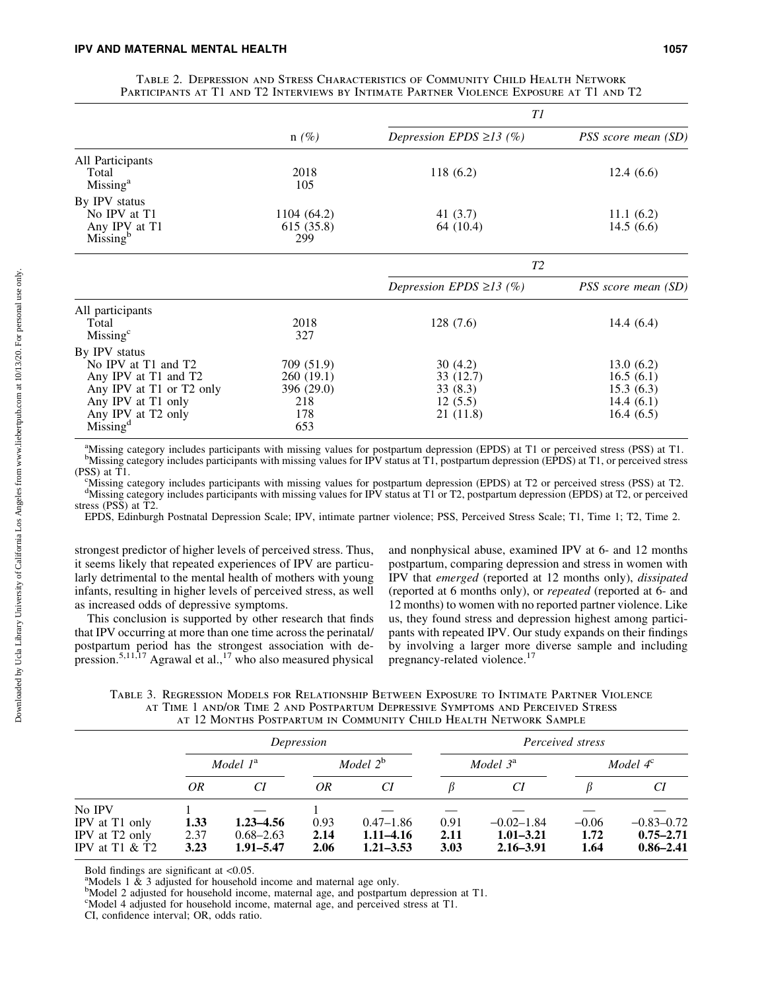|                                            |                   | T1                            |                     |  |  |
|--------------------------------------------|-------------------|-------------------------------|---------------------|--|--|
|                                            | $n(\%)$           | Depression EPDS $\geq$ 13 (%) | PSS score mean (SD) |  |  |
| All Participants                           |                   |                               |                     |  |  |
| Total<br>Missing <sup>a</sup>              | 2018<br>105       | 118(6.2)                      | 12.4(6.6)           |  |  |
| By IPV status                              |                   |                               |                     |  |  |
| No IPV at T1                               | 1104 (64.2)       | 41 (3.7)                      | 11.1(6.2)           |  |  |
| Any IPV at T1<br>Missing <sup>b</sup>      | 615 (35.8)<br>299 | 64 (10.4)                     | 14.5 $(6.6)$        |  |  |
|                                            |                   | T2                            |                     |  |  |
|                                            |                   | Depression EPDS $\geq$ 13 (%) | PSS score mean (SD) |  |  |
| All participants                           |                   |                               |                     |  |  |
| Total                                      | 2018              | 128(7.6)                      | 14.4 $(6.4)$        |  |  |
| Missing <sup>c</sup>                       | 327               |                               |                     |  |  |
| By IPV status                              |                   |                               |                     |  |  |
| No IPV at T1 and T2                        | 709 (51.9)        | 30(4.2)                       | 13.0(6.2)           |  |  |
| Any IPV at T1 and T2                       | 260 (19.1)        | 33 (12.7)                     | 16.5(6.1)           |  |  |
| Any IPV at T1 or T2 only                   | 396 (29.0)        | 33(8.3)                       | 15.3(6.3)           |  |  |
| Any IPV at T1 only                         | 218               | 12(5.5)                       | 14.4 $(6.1)$        |  |  |
| Any IPV at T2 only<br>Missing <sup>d</sup> | 178<br>653        | 21 (11.8)                     | 16.4(6.5)           |  |  |

Table 2. Depression and Stress Characteristics of Community Child Health Network Participants at T1 and T2 Interviews by Intimate Partner Violence Exposure at T1 and T2

<sup>a</sup>Missing category includes participants with missing values for postpartum depression (EPDS) at T1 or perceived stress (PSS) at T1.<br><sup>b</sup>Missing category includes participants with missing values for IPV status at T1, post

(PSS) at T1.<br><sup>C</sup>Missing category includes participants with missing values for postpartum depression (EPDS) at T2 or perceived stress (PSS) at T2.<br><sup>d</sup>Missing category includes participants with missing values for IPV statu stress (PSS) at T2.

EPDS, Edinburgh Postnatal Depression Scale; IPV, intimate partner violence; PSS, Perceived Stress Scale; T1, Time 1; T2, Time 2.

strongest predictor of higher levels of perceived stress. Thus, it seems likely that repeated experiences of IPV are particularly detrimental to the mental health of mothers with young infants, resulting in higher levels of perceived stress, as well as increased odds of depressive symptoms.

This conclusion is supported by other research that finds that IPV occurring at more than one time across the perinatal/ postpartum period has the strongest association with depression.<sup>5,11,17</sup> Agrawal et al.,<sup>17</sup> who also measured physical

and nonphysical abuse, examined IPV at 6- and 12 months postpartum, comparing depression and stress in women with IPV that *emerged* (reported at 12 months only), *dissipated* (reported at 6 months only), or *repeated* (reported at 6- and 12 months) to women with no reported partner violence. Like us, they found stress and depression highest among participants with repeated IPV. Our study expands on their findings by involving a larger more diverse sample and including pregnancy-related violence.<sup>17</sup>

Table 3. Regression Models for Relationship Between Exposure to Intimate Partner Violence at Time 1 and/or Time 2 and Postpartum Depressive Symptoms and Perceived Stress at 12 Months Postpartum in Community Child Health Network Sample

|                                                                             | Depression           |                                                 |                      |                                                 | Perceived stress     |                                                  |                         |                                                  |
|-----------------------------------------------------------------------------|----------------------|-------------------------------------------------|----------------------|-------------------------------------------------|----------------------|--------------------------------------------------|-------------------------|--------------------------------------------------|
|                                                                             | Model $1^a$          |                                                 | Model $2^{\rm b}$    |                                                 | Model $3^a$          |                                                  | Model $4^c$             |                                                  |
|                                                                             | <i>OR</i>            | CI                                              | 0R                   | CI                                              |                      | CI                                               |                         | CI                                               |
| No IPV<br>IPV at T1 only<br>IPV at T <sub>2</sub> only<br>IPV at $T1 \& T2$ | 1.33<br>2.37<br>3.23 | $1.23 - 4.56$<br>$0.68 - 2.63$<br>$1.91 - 5.47$ | 0.93<br>2.14<br>2.06 | $0.47 - 1.86$<br>$1.11 - 4.16$<br>$1.21 - 3.53$ | 0.91<br>2.11<br>3.03 | $-0.02 - 1.84$<br>$1.01 - 3.21$<br>$2.16 - 3.91$ | $-0.06$<br>1.72<br>1.64 | $-0.83 - 0.72$<br>$0.75 - 2.71$<br>$0.86 - 2.41$ |

Bold findings are significant at  $< 0.05$ .

<sup>a</sup>Models 1  $\&$  3 adjusted for household income and maternal age only.

<sup>b</sup>Model 2 adjusted for household income, maternal age, and postpartum depression at T1.

c Model 4 adjusted for household income, maternal age, and perceived stress at T1.

CI, confidence interval; OR, odds ratio.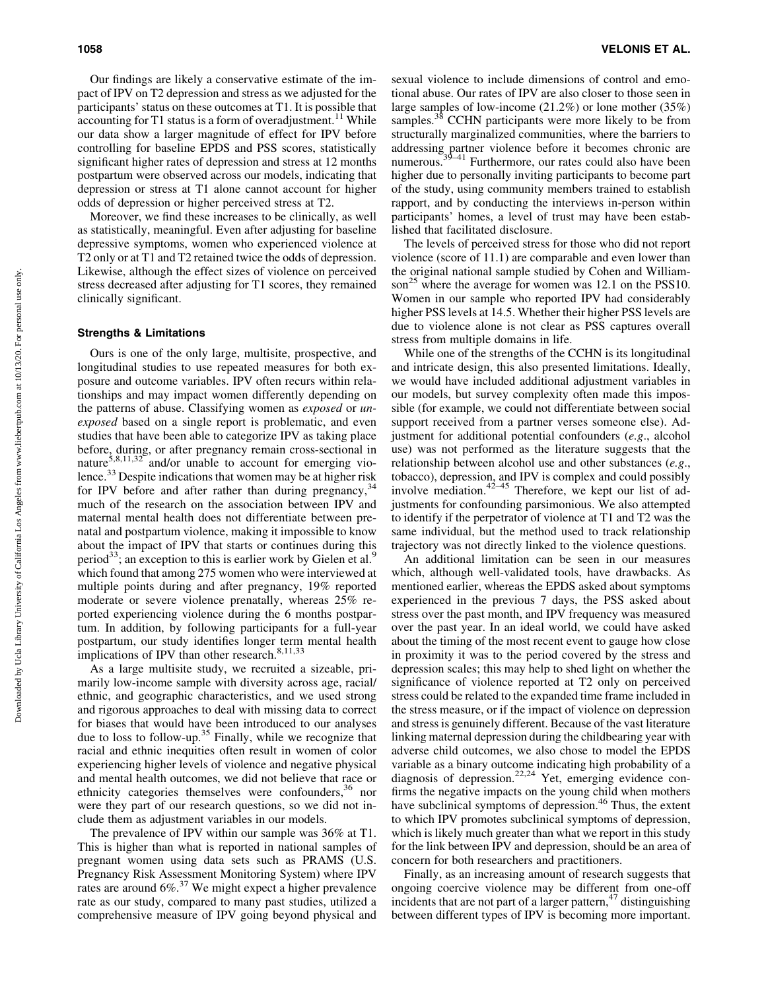Our findings are likely a conservative estimate of the impact of IPV on T2 depression and stress as we adjusted for the participants' status on these outcomes at T1. It is possible that accounting for T1 status is a form of overadjustment.<sup>11</sup> While our data show a larger magnitude of effect for IPV before controlling for baseline EPDS and PSS scores, statistically significant higher rates of depression and stress at 12 months postpartum were observed across our models, indicating that depression or stress at T1 alone cannot account for higher odds of depression or higher perceived stress at T2.

Moreover, we find these increases to be clinically, as well as statistically, meaningful. Even after adjusting for baseline depressive symptoms, women who experienced violence at T2 only or at T1 and T2 retained twice the odds of depression. Likewise, although the effect sizes of violence on perceived stress decreased after adjusting for T1 scores, they remained clinically significant.

# Strengths & Limitations

Ours is one of the only large, multisite, prospective, and longitudinal studies to use repeated measures for both exposure and outcome variables. IPV often recurs within relationships and may impact women differently depending on the patterns of abuse. Classifying women as *exposed* or *unexposed* based on a single report is problematic, and even studies that have been able to categorize IPV as taking place before, during, or after pregnancy remain cross-sectional in nature<sup>5,8,11,32</sup> and/or unable to account for emerging violence.<sup>33</sup> Despite indications that women may be at higher risk for IPV before and after rather than during pregnancy,  $34$ much of the research on the association between IPV and maternal mental health does not differentiate between prenatal and postpartum violence, making it impossible to know about the impact of IPV that starts or continues during this period<sup>33</sup>; an exception to this is earlier work by Gielen et al.<sup>9</sup> which found that among 275 women who were interviewed at multiple points during and after pregnancy, 19% reported moderate or severe violence prenatally, whereas 25% reported experiencing violence during the 6 months postpartum. In addition, by following participants for a full-year postpartum, our study identifies longer term mental health implications of IPV than other research.<sup>8,11,33</sup>

As a large multisite study, we recruited a sizeable, primarily low-income sample with diversity across age, racial/ ethnic, and geographic characteristics, and we used strong and rigorous approaches to deal with missing data to correct for biases that would have been introduced to our analyses due to loss to follow-up.<sup>35</sup> Finally, while we recognize that racial and ethnic inequities often result in women of color experiencing higher levels of violence and negative physical and mental health outcomes, we did not believe that race or ethnicity categories themselves were confounders,<sup>36</sup> nor were they part of our research questions, so we did not include them as adjustment variables in our models.

The prevalence of IPV within our sample was 36% at T1. This is higher than what is reported in national samples of pregnant women using data sets such as PRAMS (U.S. Pregnancy Risk Assessment Monitoring System) where IPV rates are around  $6\%$ .<sup>37</sup> We might expect a higher prevalence rate as our study, compared to many past studies, utilized a comprehensive measure of IPV going beyond physical and sexual violence to include dimensions of control and emotional abuse. Our rates of IPV are also closer to those seen in large samples of low-income (21.2%) or lone mother (35%) samples.<sup>38</sup> CCHN participants were more likely to be from structurally marginalized communities, where the barriers to addressing partner violence before it becomes chronic are numerous.<sup>34-41</sup> Furthermore, our rates could also have been higher due to personally inviting participants to become part of the study, using community members trained to establish rapport, and by conducting the interviews in-person within participants' homes, a level of trust may have been established that facilitated disclosure.

The levels of perceived stress for those who did not report violence (score of 11.1) are comparable and even lower than the original national sample studied by Cohen and Williamson<sup>25</sup> where the average for women was 12.1 on the PSS10. Women in our sample who reported IPV had considerably higher PSS levels at 14.5. Whether their higher PSS levels are due to violence alone is not clear as PSS captures overall stress from multiple domains in life.

While one of the strengths of the CCHN is its longitudinal and intricate design, this also presented limitations. Ideally, we would have included additional adjustment variables in our models, but survey complexity often made this impossible (for example, we could not differentiate between social support received from a partner verses someone else). Adjustment for additional potential confounders (*e.g*., alcohol use) was not performed as the literature suggests that the relationship between alcohol use and other substances (*e.g*., tobacco), depression, and IPV is complex and could possibly involve mediation.42–45 Therefore, we kept our list of adjustments for confounding parsimonious. We also attempted to identify if the perpetrator of violence at T1 and T2 was the same individual, but the method used to track relationship trajectory was not directly linked to the violence questions.

An additional limitation can be seen in our measures which, although well-validated tools, have drawbacks. As mentioned earlier, whereas the EPDS asked about symptoms experienced in the previous 7 days, the PSS asked about stress over the past month, and IPV frequency was measured over the past year. In an ideal world, we could have asked about the timing of the most recent event to gauge how close in proximity it was to the period covered by the stress and depression scales; this may help to shed light on whether the significance of violence reported at T2 only on perceived stress could be related to the expanded time frame included in the stress measure, or if the impact of violence on depression and stress is genuinely different. Because of the vast literature linking maternal depression during the childbearing year with adverse child outcomes, we also chose to model the EPDS variable as a binary outcome indicating high probability of a diagnosis of depression.<sup>22,24</sup> Yet, emerging evidence confirms the negative impacts on the young child when mothers have subclinical symptoms of depression.<sup>46</sup> Thus, the extent to which IPV promotes subclinical symptoms of depression, which is likely much greater than what we report in this study for the link between IPV and depression, should be an area of concern for both researchers and practitioners.

Finally, as an increasing amount of research suggests that ongoing coercive violence may be different from one-off incidents that are not part of a larger pattern,  $47$  distinguishing between different types of IPV is becoming more important.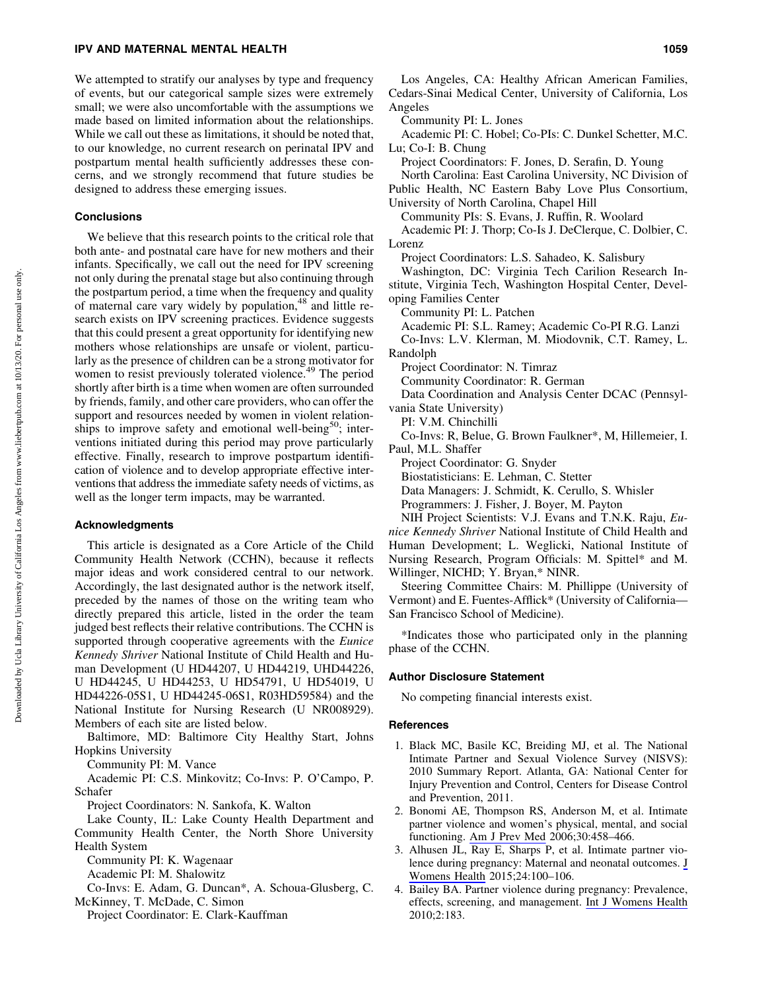We attempted to stratify our analyses by type and frequency of events, but our categorical sample sizes were extremely small; we were also uncomfortable with the assumptions we made based on limited information about the relationships. While we call out these as limitations, it should be noted that, to our knowledge, no current research on perinatal IPV and postpartum mental health sufficiently addresses these concerns, and we strongly recommend that future studies be designed to address these emerging issues.

#### **Conclusions**

We believe that this research points to the critical role that both ante- and postnatal care have for new mothers and their infants. Specifically, we call out the need for IPV screening not only during the prenatal stage but also continuing through the postpartum period, a time when the frequency and quality of maternal care vary widely by population,<sup>48</sup> and little research exists on IPV screening practices. Evidence suggests that this could present a great opportunity for identifying new mothers whose relationships are unsafe or violent, particularly as the presence of children can be a strong motivator for women to resist previously tolerated violence.<sup>49</sup> The period shortly after birth is a time when women are often surrounded by friends, family, and other care providers, who can offer the support and resources needed by women in violent relationships to improve safety and emotional well-being<sup>50</sup>; interventions initiated during this period may prove particularly effective. Finally, research to improve postpartum identification of violence and to develop appropriate effective interventions that address the immediate safety needs of victims, as well as the longer term impacts, may be warranted.

# Acknowledgments

This article is designated as a Core Article of the Child Community Health Network (CCHN), because it reflects major ideas and work considered central to our network. Accordingly, the last designated author is the network itself, preceded by the names of those on the writing team who directly prepared this article, listed in the order the team judged best reflects their relative contributions. The CCHN is supported through cooperative agreements with the *Eunice Kennedy Shriver* National Institute of Child Health and Human Development (U HD44207, U HD44219, UHD44226, U HD44245, U HD44253, U HD54791, U HD54019, U HD44226-05S1, U HD44245-06S1, R03HD59584) and the National Institute for Nursing Research (U NR008929). Members of each site are listed below.

Baltimore, MD: Baltimore City Healthy Start, Johns Hopkins University

Community PI: M. Vance

Academic PI: C.S. Minkovitz; Co-Invs: P. O'Campo, P. Schafer

Project Coordinators: N. Sankofa, K. Walton

Lake County, IL: Lake County Health Department and Community Health Center, the North Shore University Health System

Community PI: K. Wagenaar

Academic PI: M. Shalowitz

Co-Invs: E. Adam, G. Duncan\*, A. Schoua-Glusberg, C. McKinney, T. McDade, C. Simon

Project Coordinator: E. Clark-Kauffman

Los Angeles, CA: Healthy African American Families, Cedars-Sinai Medical Center, University of California, Los Angeles

Community PI: L. Jones

Academic PI: C. Hobel; Co-PIs: C. Dunkel Schetter, M.C. Lu; Co-I: B. Chung

Project Coordinators: F. Jones, D. Serafin, D. Young

North Carolina: East Carolina University, NC Division of Public Health, NC Eastern Baby Love Plus Consortium,

University of North Carolina, Chapel Hill

Community PIs: S. Evans, J. Ruffin, R. Woolard

Academic PI: J. Thorp; Co-Is J. DeClerque, C. Dolbier, C. Lorenz

Project Coordinators: L.S. Sahadeo, K. Salisbury

Washington, DC: Virginia Tech Carilion Research Institute, Virginia Tech, Washington Hospital Center, Developing Families Center

Community PI: L. Patchen

Academic PI: S.L. Ramey; Academic Co-PI R.G. Lanzi

Co-Invs: L.V. Klerman, M. Miodovnik, C.T. Ramey, L. Randolph

Project Coordinator: N. Timraz

Community Coordinator: R. German

Data Coordination and Analysis Center DCAC (Pennsylvania State University)

PI: V.M. Chinchilli

Co-Invs: R, Belue, G. Brown Faulkner\*, M, Hillemeier, I. Paul, M.L. Shaffer

Project Coordinator: G. Snyder

Biostatisticians: E. Lehman, C. Stetter

Data Managers: J. Schmidt, K. Cerullo, S. Whisler

Programmers: J. Fisher, J. Boyer, M. Payton

NIH Project Scientists: V.J. Evans and T.N.K. Raju, *Eunice Kennedy Shriver* National Institute of Child Health and Human Development; L. Weglicki, National Institute of Nursing Research, Program Officials: M. Spittel\* and M. Willinger, NICHD; Y. Bryan,\* NINR.

Steering Committee Chairs: M. Phillippe (University of Vermont) and E. Fuentes-Afflick\* (University of California— San Francisco School of Medicine).

\*Indicates those who participated only in the planning phase of the CCHN.

## Author Disclosure Statement

No competing financial interests exist.

#### References

- 1. Black MC, Basile KC, Breiding MJ, et al. The National Intimate Partner and Sexual Violence Survey (NISVS): 2010 Summary Report. Atlanta, GA: National Center for Injury Prevention and Control, Centers for Disease Control and Prevention, 2011.
- 2. Bonomi AE, Thompson RS, Anderson M, et al. Intimate partner violence and women's physical, mental, and social functioning. [Am J Prev Med](https://www.liebertpub.com/action/showLinks?pmid=16704938&crossref=10.1016%2Fj.amepre.2006.01.015&citationId=p_60) 2006;30:458–466.
- 3. Alhusen JL, Ray E, Sharps P, et al. Intimate partner violence during pregnancy: Maternal and neonatal outcomes. [J](https://www.liebertpub.com/action/showLinks?system=10.1089%2Fjwh.2014.4872&citationId=p_61) [Womens Health](https://www.liebertpub.com/action/showLinks?system=10.1089%2Fjwh.2014.4872&citationId=p_61) 2015;24:100–106.
- 4. Bailey BA. Partner violence during pregnancy: Prevalence, effects, screening, and management. [Int J Womens Health](https://www.liebertpub.com/action/showLinks?pmid=21072311&crossref=10.2147%2FIJWH.S8632&citationId=p_62) 2010;2:183.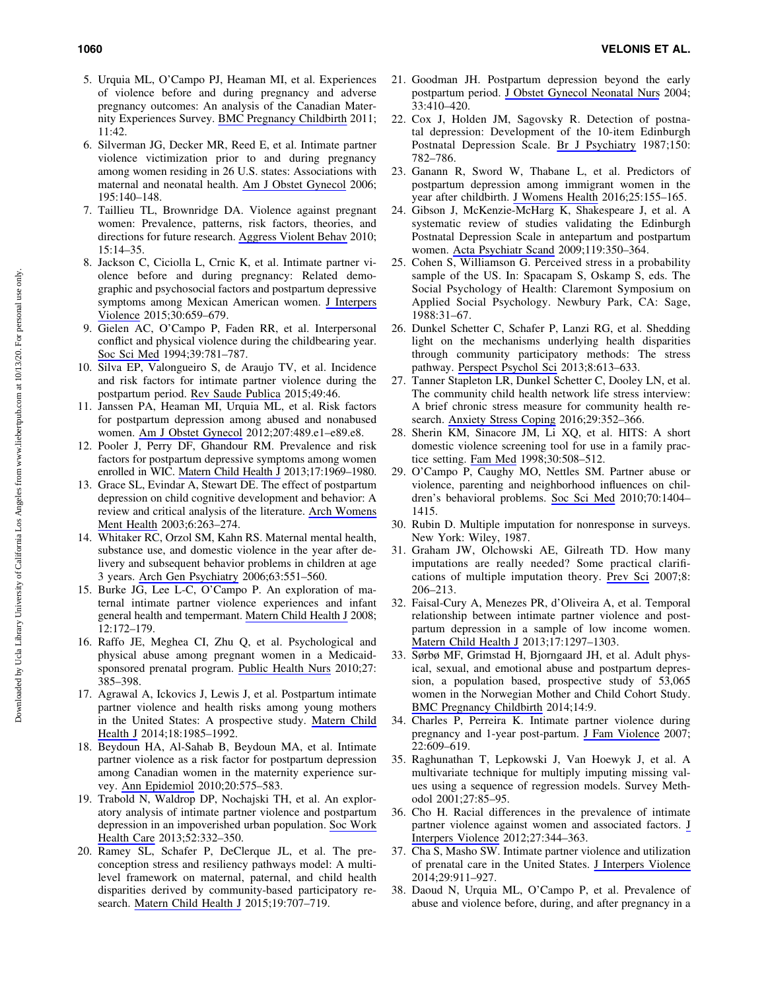- 5. Urquia ML, O'Campo PJ, Heaman MI, et al. Experiences of violence before and during pregnancy and adverse pregnancy outcomes: An analysis of the Canadian Maternity Experiences Survey. [BMC Pregnancy Childbirth](https://www.liebertpub.com/action/showLinks?pmid=21649909&crossref=10.1186%2F1471-2393-11-42&citationId=p_63) 2011; 11:42.
- 6. Silverman JG, Decker MR, Reed E, et al. Intimate partner violence victimization prior to and during pregnancy among women residing in 26 U.S. states: Associations with maternal and neonatal health. [Am J Obstet Gynecol](https://www.liebertpub.com/action/showLinks?pmid=16813751&crossref=10.1016%2Fj.ajog.2005.12.052&citationId=p_64) 2006; 195:140–148.
- 7. Taillieu TL, Brownridge DA. Violence against pregnant women: Prevalence, patterns, risk factors, theories, and directions for future research. [Aggress Violent Behav](https://www.liebertpub.com/action/showLinks?crossref=10.1016%2Fj.avb.2009.07.013&citationId=p_65) 2010; 15:14–35.
- 8. Jackson C, Ciciolla L, Crnic K, et al. Intimate partner violence before and during pregnancy: Related demographic and psychosocial factors and postpartum depressive symptoms among Mexican American women. [J Interpers](https://www.liebertpub.com/action/showLinks?pmid=24958135&crossref=10.1177%2F0886260514535262&citationId=p_66) [Violence](https://www.liebertpub.com/action/showLinks?pmid=24958135&crossref=10.1177%2F0886260514535262&citationId=p_66) 2015;30:659–679.
- 9. Gielen AC, O'Campo P, Faden RR, et al. Interpersonal conflict and physical violence during the childbearing year. [Soc Sci Med](https://www.liebertpub.com/action/showLinks?pmid=7802853&crossref=10.1016%2F0277-9536%2894%2990039-6&citationId=p_67) 1994;39:781–787.
- 10. Silva EP, Valongueiro S, de Araujo TV, et al. Incidence and risk factors for intimate partner violence during the postpartum period. [Rev Saude Publica](https://www.liebertpub.com/action/showLinks?pmid=26270012&crossref=10.1590%2FS0034-8910.2015049005432&citationId=p_68) 2015;49:46.
- 11. Janssen PA, Heaman MI, Urquia ML, et al. Risk factors for postpartum depression among abused and nonabused women. [Am J Obstet Gynecol](https://www.liebertpub.com/action/showLinks?pmid=23063016&crossref=10.1016%2Fj.ajog.2012.09.022&citationId=p_69) 2012;207:489.e1–e89.e8.
- 12. Pooler J, Perry DF, Ghandour RM. Prevalence and risk factors for postpartum depressive symptoms among women enrolled in WIC. [Matern Child Health J](https://www.liebertpub.com/action/showLinks?pmid=23329168&crossref=10.1007%2Fs10995-013-1224-y&citationId=p_70) 2013;17:1969–1980.
- 13. Grace SL, Evindar A, Stewart DE. The effect of postpartum depression on child cognitive development and behavior: A review and critical analysis of the literature. [Arch Womens](https://www.liebertpub.com/action/showLinks?pmid=14628179&crossref=10.1007%2Fs00737-003-0024-6&citationId=p_71) [Ment Health](https://www.liebertpub.com/action/showLinks?pmid=14628179&crossref=10.1007%2Fs00737-003-0024-6&citationId=p_71) 2003;6:263–274.
- 14. Whitaker RC, Orzol SM, Kahn RS. Maternal mental health, substance use, and domestic violence in the year after delivery and subsequent behavior problems in children at age 3 years. [Arch Gen Psychiatry](https://www.liebertpub.com/action/showLinks?pmid=16651512&crossref=10.1001%2Farchpsyc.63.5.551&citationId=p_72) 2006;63:551–560.
- 15. Burke JG, Lee L-C, O'Campo P. An exploration of maternal intimate partner violence experiences and infant general health and tempermant. [Matern Child Health J](https://www.liebertpub.com/action/showLinks?pmid=17549615&crossref=10.1007%2Fs10995-007-0218-z&citationId=p_73) 2008; 12:172–179.
- 16. Raffo JE, Meghea CI, Zhu Q, et al. Psychological and physical abuse among pregnant women in a Medicaidsponsored prenatal program. [Public Health Nurs](https://www.liebertpub.com/action/showLinks?pmid=20840708&crossref=10.1111%2Fj.1525-1446.2010.00871.x&citationId=p_74) 2010;27: 385–398.
- 17. Agrawal A, Ickovics J, Lewis J, et al. Postpartum intimate partner violence and health risks among young mothers in the United States: A prospective study. [Matern Child](https://www.liebertpub.com/action/showLinks?pmid=24562504&crossref=10.1007%2Fs10995-014-1444-9&citationId=p_75) [Health J](https://www.liebertpub.com/action/showLinks?pmid=24562504&crossref=10.1007%2Fs10995-014-1444-9&citationId=p_75) 2014;18:1985–1992.
- 18. Beydoun HA, Al-Sahab B, Beydoun MA, et al. Intimate partner violence as a risk factor for postpartum depression among Canadian women in the maternity experience survey. [Ann Epidemiol](https://www.liebertpub.com/action/showLinks?pmid=20609336&crossref=10.1016%2Fj.annepidem.2010.05.011&citationId=p_76) 2010;20:575–583.
- 19. Trabold N, Waldrop DP, Nochajski TH, et al. An exploratory analysis of intimate partner violence and postpartum depression in an impoverished urban population. [Soc Work](https://www.liebertpub.com/action/showLinks?pmid=23581837&crossref=10.1080%2F00981389.2012.751081&citationId=p_77) [Health Care](https://www.liebertpub.com/action/showLinks?pmid=23581837&crossref=10.1080%2F00981389.2012.751081&citationId=p_77) 2013;52:332–350.
- 20. Ramey SL, Schafer P, DeClerque JL, et al. The preconception stress and resiliency pathways model: A multilevel framework on maternal, paternal, and child health disparities derived by community-based participatory research. [Matern Child Health J](https://www.liebertpub.com/action/showLinks?pmid=25070734&crossref=10.1007%2Fs10995-014-1581-1&citationId=p_78) 2015;19:707–719.
- 21. Goodman JH. Postpartum depression beyond the early postpartum period. [J Obstet Gynecol Neonatal Nurs](https://www.liebertpub.com/action/showLinks?pmid=15346666&crossref=10.1177%2F0884217504266915&citationId=p_79) 2004; 33:410–420.
- 22. Cox J, Holden JM, Sagovsky R. Detection of postnatal depression: Development of the 10-item Edinburgh Postnatal Depression Scale. [Br J Psychiatry](https://www.liebertpub.com/action/showLinks?pmid=3651732&crossref=10.1192%2Fbjp.150.6.782&citationId=p_80) 1987;150: 782–786.
- 23. Ganann R, Sword W, Thabane L, et al. Predictors of postpartum depression among immigrant women in the year after childbirth. [J Womens Health](https://www.liebertpub.com/action/showLinks?system=10.1089%2Fjwh.2015.5292&citationId=p_81) 2016;25:155–165.
- 24. Gibson J, McKenzie-McHarg K, Shakespeare J, et al. A systematic review of studies validating the Edinburgh Postnatal Depression Scale in antepartum and postpartum women. [Acta Psychiatr Scand](https://www.liebertpub.com/action/showLinks?pmid=19298573&crossref=10.1111%2Fj.1600-0447.2009.01363.x&citationId=p_82) 2009;119:350–364.
- 25. Cohen S, Williamson G. Perceived stress in a probability sample of the US. In: Spacapam S, Oskamp S, eds. The Social Psychology of Health: Claremont Symposium on Applied Social Psychology. Newbury Park, CA: Sage, 1988:31–67.
- 26. Dunkel Schetter C, Schafer P, Lanzi RG, et al. Shedding light on the mechanisms underlying health disparities through community participatory methods: The stress pathway. [Perspect Psychol Sci](https://www.liebertpub.com/action/showLinks?pmid=26173227&crossref=10.1177%2F1745691613506016&citationId=p_84) 2013;8:613–633.
- 27. Tanner Stapleton LR, Dunkel Schetter C, Dooley LN, et al. The community child health network life stress interview: A brief chronic stress measure for community health research. [Anxiety Stress Coping](https://www.liebertpub.com/action/showLinks?pmid=26079068&crossref=10.1080%2F10615806.2015.1058368&citationId=p_85) 2016;29:352–366.
- 28. Sherin KM, Sinacore JM, Li XQ, et al. HITS: A short domestic violence screening tool for use in a family practice setting. [Fam Med](https://www.liebertpub.com/action/showLinks?pmid=9669164&citationId=p_86) 1998;30:508–512.
- 29. O'Campo P, Caughy MO, Nettles SM. Partner abuse or violence, parenting and neighborhood influences on children's behavioral problems. [Soc Sci Med](https://www.liebertpub.com/action/showLinks?pmid=20163906&crossref=10.1016%2Fj.socscimed.2009.11.036&citationId=p_87) 2010;70:1404– 1415.
- 30. Rubin D. Multiple imputation for nonresponse in surveys. New York: Wiley, 1987.
- 31. Graham JW, Olchowski AE, Gilreath TD. How many imputations are really needed? Some practical clarifications of multiple imputation theory. [Prev Sci](https://www.liebertpub.com/action/showLinks?pmid=17549635&crossref=10.1007%2Fs11121-007-0070-9&citationId=p_89) 2007;8: 206–213.
- 32. Faisal-Cury A, Menezes PR, d'Oliveira A, et al. Temporal relationship between intimate partner violence and postpartum depression in a sample of low income women. [Matern Child Health J](https://www.liebertpub.com/action/showLinks?pmid=22935913&crossref=10.1007%2Fs10995-012-1127-3&citationId=p_90) 2013;17:1297–1303.
- 33. Sørbø MF, Grimstad H, Bjorngaard JH, et al. Adult physical, sexual, and emotional abuse and postpartum depression, a population based, prospective study of 53,065 women in the Norwegian Mother and Child Cohort Study. [BMC Pregnancy Childbirth](https://www.liebertpub.com/action/showLinks?pmid=24401041&crossref=10.1186%2F1471-2393-14-316&citationId=p_91) 2014;14:9.
- 34. Charles P, Perreira K. Intimate partner violence during pregnancy and 1-year post-partum. [J Fam Violence](https://www.liebertpub.com/action/showLinks?crossref=10.1007%2Fs10896-007-9112-0&citationId=p_92) 2007; 22:609–619.
- 35. Raghunathan T, Lepkowski J, Van Hoewyk J, et al. A multivariate technique for multiply imputing missing values using a sequence of regression models. Survey Methodol 2001;27:85–95.
- 36. Cho H. Racial differences in the prevalence of intimate partner violence against women and associated factors. [J](https://www.liebertpub.com/action/showLinks?pmid=21859761&crossref=10.1177%2F0886260511416469&citationId=p_94) [Interpers Violence](https://www.liebertpub.com/action/showLinks?pmid=21859761&crossref=10.1177%2F0886260511416469&citationId=p_94) 2012;27:344–363.
- 37. Cha S, Masho SW. Intimate partner violence and utilization of prenatal care in the United States. [J Interpers Violence](https://www.liebertpub.com/action/showLinks?pmid=24203982&crossref=10.1177%2F0886260513505711&citationId=p_95) 2014;29:911–927.
- 38. Daoud N, Urquia ML, O'Campo P, et al. Prevalence of abuse and violence before, during, and after pregnancy in a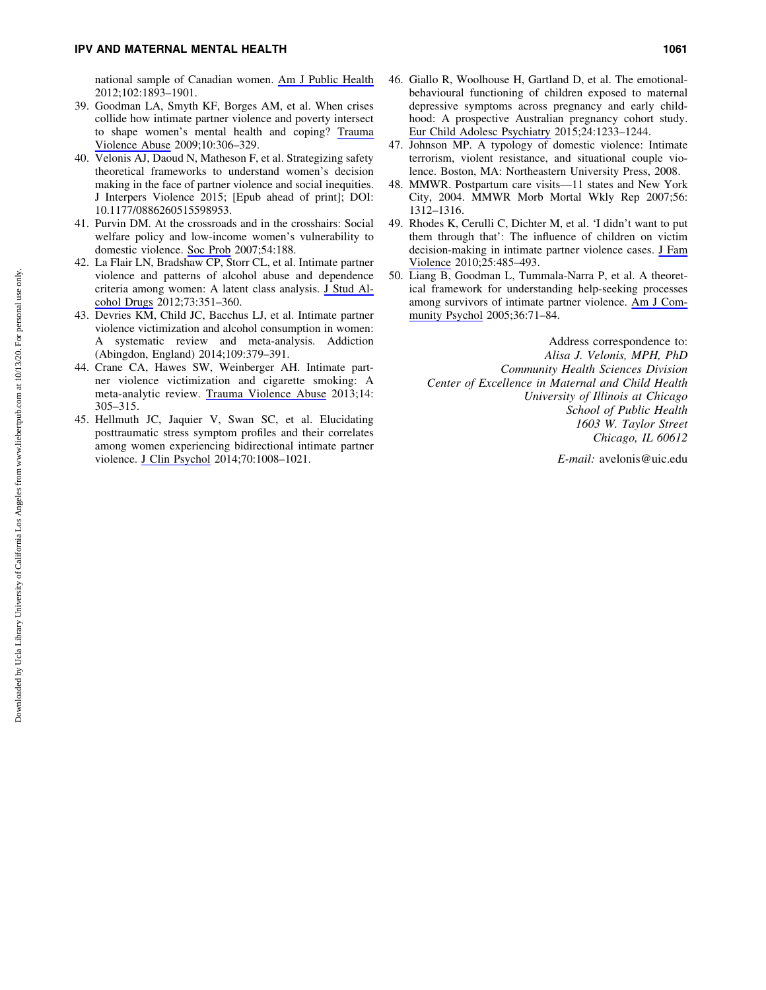national sample of Canadian women. [Am J Public Health](https://www.liebertpub.com/action/showLinks?pmid=22897526&crossref=10.2105%2FAJPH.2012.300843&citationId=p_96) 2012;102:1893–1901.

- 39. Goodman LA, Smyth KF, Borges AM, et al. When crises collide how intimate partner violence and poverty intersect to shape women's mental health and coping? [Trauma](https://www.liebertpub.com/action/showLinks?pmid=19776085&crossref=10.1177%2F1524838009339754&citationId=p_97) [Violence Abuse](https://www.liebertpub.com/action/showLinks?pmid=19776085&crossref=10.1177%2F1524838009339754&citationId=p_97) 2009;10:306–329.
- 40. Velonis AJ, Daoud N, Matheson F, et al. Strategizing safety theoretical frameworks to understand women's decision making in the face of partner violence and social inequities. J Interpers Violence 2015; [Epub ahead of print]; DOI: 10.1177/0886260515598953.
- 41. Purvin DM. At the crossroads and in the crosshairs: Social welfare policy and low-income women's vulnerability to domestic violence. [Soc Prob](https://www.liebertpub.com/action/showLinks?crossref=10.1525%2Fsp.2007.54.2.188&citationId=p_99) 2007;54:188.
- 42. La Flair LN, Bradshaw CP, Storr CL, et al. Intimate partner violence and patterns of alcohol abuse and dependence criteria among women: A latent class analysis. [J Stud Al](https://www.liebertpub.com/action/showLinks?pmid=22456240&crossref=10.15288%2Fjsad.2012.73.351&citationId=p_100)[cohol Drugs](https://www.liebertpub.com/action/showLinks?pmid=22456240&crossref=10.15288%2Fjsad.2012.73.351&citationId=p_100) 2012;73:351–360.
- 43. Devries KM, Child JC, Bacchus LJ, et al. Intimate partner violence victimization and alcohol consumption in women: A systematic review and meta-analysis. Addiction (Abingdon, England) 2014;109:379–391.
- 44. Crane CA, Hawes SW, Weinberger AH. Intimate partner violence victimization and cigarette smoking: A meta-analytic review. [Trauma Violence Abuse](https://www.liebertpub.com/action/showLinks?pmid=23878146&crossref=10.1177%2F1524838013495962&citationId=p_102) 2013;14: 305–315.
- 45. Hellmuth JC, Jaquier V, Swan SC, et al. Elucidating posttraumatic stress symptom profiles and their correlates among women experiencing bidirectional intimate partner violence. [J Clin Psychol](https://www.liebertpub.com/action/showLinks?pmid=24752965&crossref=10.1002%2Fjclp.22100&citationId=p_103) 2014;70:1008–1021.
- 46. Giallo R, Woolhouse H, Gartland D, et al. The emotionalbehavioural functioning of children exposed to maternal depressive symptoms across pregnancy and early childhood: A prospective Australian pregnancy cohort study. [Eur Child Adolesc Psychiatry](https://www.liebertpub.com/action/showLinks?pmid=25572869&crossref=10.1007%2Fs00787-014-0672-2&citationId=p_104) 2015;24:1233–1244.
- 47. Johnson MP. A typology of domestic violence: Intimate terrorism, violent resistance, and situational couple violence. Boston, MA: Northeastern University Press, 2008.
- 48. MMWR. Postpartum care visits—11 states and New York City, 2004. MMWR Morb Mortal Wkly Rep 2007;56: 1312–1316.
- 49. Rhodes K, Cerulli C, Dichter M, et al. 'I didn't want to put them through that': The influence of children on victim decision-making in intimate partner violence cases. [J Fam](https://www.liebertpub.com/action/showLinks?crossref=10.1007%2Fs10896-010-9310-z&citationId=p_107) [Violence](https://www.liebertpub.com/action/showLinks?crossref=10.1007%2Fs10896-010-9310-z&citationId=p_107) 2010;25:485–493.
- 50. Liang B, Goodman L, Tummala-Narra P, et al. A theoretical framework for understanding help-seeking processes among survivors of intimate partner violence. [Am J Com](https://www.liebertpub.com/action/showLinks?pmid=16134045&crossref=10.1007%2Fs10464-005-6233-6&citationId=p_108)[munity Psychol](https://www.liebertpub.com/action/showLinks?pmid=16134045&crossref=10.1007%2Fs10464-005-6233-6&citationId=p_108) 2005;36:71–84.

Address correspondence to: *Alisa J. Velonis, MPH, PhD Community Health Sciences Division Center of Excellence in Maternal and Child Health University of Illinois at Chicago School of Public Health 1603 W. Taylor Street Chicago, IL 60612*

*E-mail:* avelonis@uic.edu